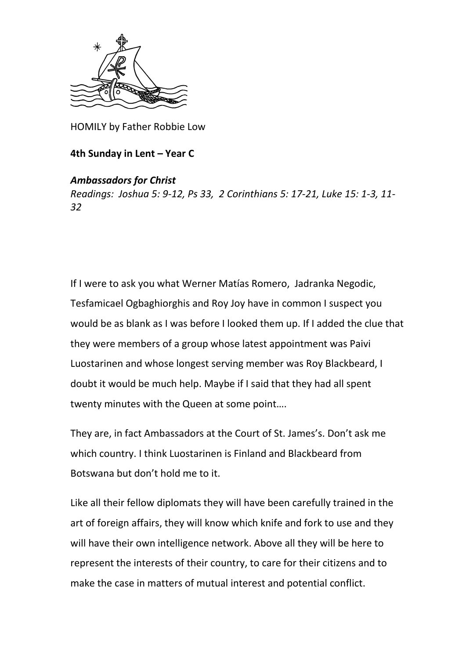

HOMILY by Father Robbie Low

## **4th Sunday in Lent – Year C**

## *Ambassadors for Christ*

*Readings: Joshua 5: 9-12, Ps 33, 2 Corinthians 5: 17-21, Luke 15: 1-3, 11- 32*

If I were to ask you what [Werner Matías Romero,](https://en.wikipedia.org/w/index.php?title=Werner_Mat%C3%ADas_Romero&action=edit&redlink=1) Jadranka Negodic, [Tesfamicael Ogbaghiorghis](https://en.wikipedia.org/w/index.php?title=Tesfamicael_Ogbaghiorghis&action=edit&redlink=1) and Roy Joy have in common I suspect you would be as blank as I was before I looked them up. If I added the clue that they were members of a group whose latest appointment was Paivi Luostarinen and whose longest serving member was Roy Blackbeard, I doubt it would be much help. Maybe if I said that they had all spent twenty minutes with the Queen at some point….

They are, in fact Ambassadors at the Court of St. James's. Don't ask me which country. I think Luostarinen is Finland and Blackbeard from Botswana but don't hold me to it.

Like all their fellow diplomats they will have been carefully trained in the art of foreign affairs, they will know which knife and fork to use and they will have their own intelligence network. Above all they will be here to represent the interests of their country, to care for their citizens and to make the case in matters of mutual interest and potential conflict.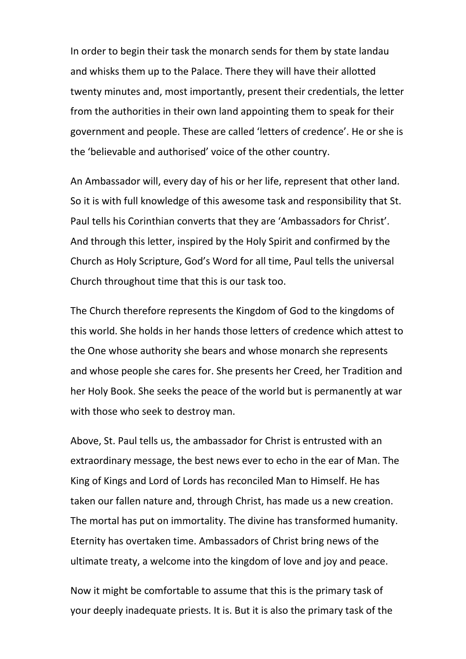In order to begin their task the monarch sends for them by state landau and whisks them up to the Palace. There they will have their allotted twenty minutes and, most importantly, present their credentials, the letter from the authorities in their own land appointing them to speak for their government and people. These are called 'letters of credence'. He or she is the 'believable and authorised' voice of the other country.

An Ambassador will, every day of his or her life, represent that other land. So it is with full knowledge of this awesome task and responsibility that St. Paul tells his Corinthian converts that they are 'Ambassadors for Christ'. And through this letter, inspired by the Holy Spirit and confirmed by the Church as Holy Scripture, God's Word for all time, Paul tells the universal Church throughout time that this is our task too.

The Church therefore represents the Kingdom of God to the kingdoms of this world. She holds in her hands those letters of credence which attest to the One whose authority she bears and whose monarch she represents and whose people she cares for. She presents her Creed, her Tradition and her Holy Book. She seeks the peace of the world but is permanently at war with those who seek to destroy man.

Above, St. Paul tells us, the ambassador for Christ is entrusted with an extraordinary message, the best news ever to echo in the ear of Man. The King of Kings and Lord of Lords has reconciled Man to Himself. He has taken our fallen nature and, through Christ, has made us a new creation. The mortal has put on immortality. The divine has transformed humanity. Eternity has overtaken time. Ambassadors of Christ bring news of the ultimate treaty, a welcome into the kingdom of love and joy and peace.

Now it might be comfortable to assume that this is the primary task of your deeply inadequate priests. It is. But it is also the primary task of the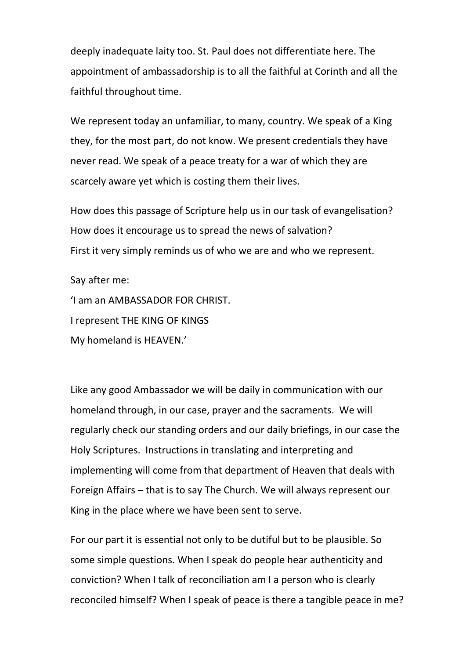deeply inadequate laity too. St. Paul does not differentiate here. The appointment of ambassadorship is to all the faithful at Corinth and all the faithful throughout time.

We represent today an unfamiliar, to many, country. We speak of a King they, for the most part, do not know. We present credentials they have never read. We speak of a peace treaty for a war of which they are scarcely aware yet which is costing them their lives.

How does this passage of Scripture help us in our task of evangelisation? How does it encourage us to spread the news of salvation? First it very simply reminds us of who we are and who we represent.

Say after me:

'I am an AMBASSADOR FOR CHRIST. I represent THE KING OF KINGS My homeland is HEAVEN.'

Like any good Ambassador we will be daily in communication with our homeland through, in our case, prayer and the sacraments. We will regularly check our standing orders and our daily briefings, in our case the Holy Scriptures. Instructions in translating and interpreting and implementing will come from that department of Heaven that deals with Foreign Affairs – that is to say The Church. We will always represent our King in the place where we have been sent to serve.

For our part it is essential not only to be dutiful but to be plausible. So some simple questions. When I speak do people hear authenticity and conviction? When I talk of reconciliation am I a person who is clearly reconciled himself? When I speak of peace is there a tangible peace in me?